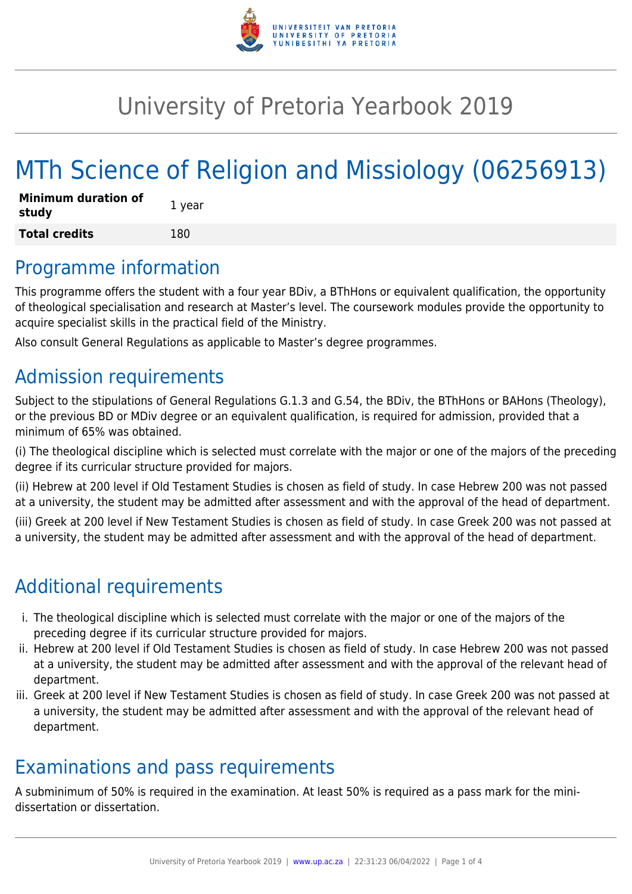

## University of Pretoria Yearbook 2019

# MTh Science of Religion and Missiology (06256913)

| <b>Minimum duration of</b><br>study | 1 year |
|-------------------------------------|--------|
| <b>Total credits</b>                | 180    |

### Programme information

This programme offers the student with a four year BDiv, a BThHons or equivalent qualification, the opportunity of theological specialisation and research at Master's level. The coursework modules provide the opportunity to acquire specialist skills in the practical field of the Ministry.

Also consult General Regulations as applicable to Master's degree programmes.

### Admission requirements

Subject to the stipulations of General Regulations G.1.3 and G.54, the BDiv, the BThHons or BAHons (Theology), or the previous BD or MDiv degree or an equivalent qualification, is required for admission, provided that a minimum of 65% was obtained.

(i) The theological discipline which is selected must correlate with the major or one of the majors of the preceding degree if its curricular structure provided for majors.

(ii) Hebrew at 200 level if Old Testament Studies is chosen as field of study. In case Hebrew 200 was not passed at a university, the student may be admitted after assessment and with the approval of the head of department.

(iii) Greek at 200 level if New Testament Studies is chosen as field of study. In case Greek 200 was not passed at a university, the student may be admitted after assessment and with the approval of the head of department.

### Additional requirements

- i. The theological discipline which is selected must correlate with the major or one of the majors of the preceding degree if its curricular structure provided for majors.
- ii. Hebrew at 200 level if Old Testament Studies is chosen as field of study. In case Hebrew 200 was not passed at a university, the student may be admitted after assessment and with the approval of the relevant head of department.
- iii. Greek at 200 level if New Testament Studies is chosen as field of study. In case Greek 200 was not passed at a university, the student may be admitted after assessment and with the approval of the relevant head of department.

### Examinations and pass requirements

A subminimum of 50% is required in the examination. At least 50% is required as a pass mark for the minidissertation or dissertation.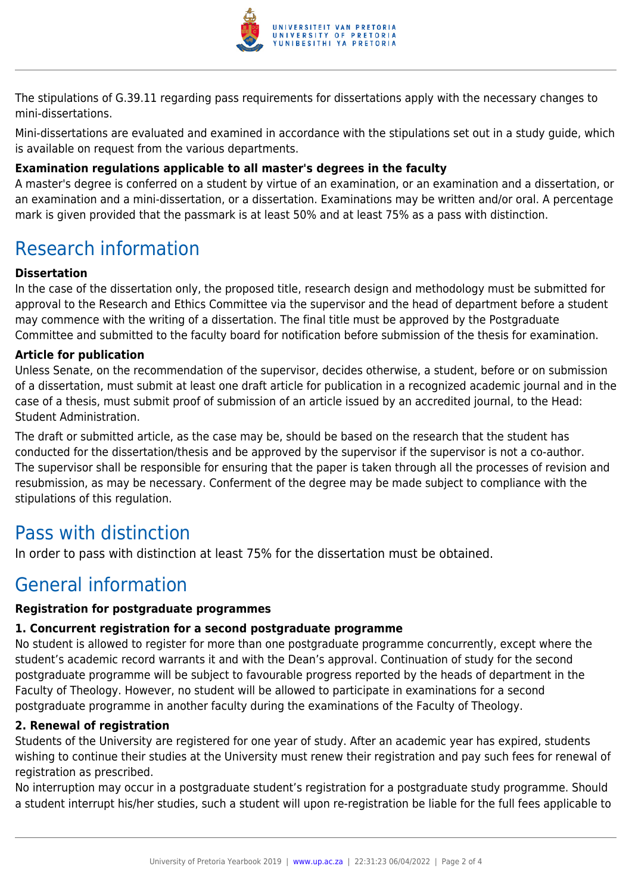

The stipulations of G.39.11 regarding pass requirements for dissertations apply with the necessary changes to mini-dissertations.

Mini-dissertations are evaluated and examined in accordance with the stipulations set out in a study guide, which is available on request from the various departments.

#### **Examination regulations applicable to all master's degrees in the faculty**

A master's degree is conferred on a student by virtue of an examination, or an examination and a dissertation, or an examination and a mini-dissertation, or a dissertation. Examinations may be written and/or oral. A percentage mark is given provided that the passmark is at least 50% and at least 75% as a pass with distinction.

### Research information

#### **Dissertation**

In the case of the dissertation only, the proposed title, research design and methodology must be submitted for approval to the Research and Ethics Committee via the supervisor and the head of department before a student may commence with the writing of a dissertation. The final title must be approved by the Postgraduate Committee and submitted to the faculty board for notification before submission of the thesis for examination.

#### **Article for publication**

Unless Senate, on the recommendation of the supervisor, decides otherwise, a student, before or on submission of a dissertation, must submit at least one draft article for publication in a recognized academic journal and in the case of a thesis, must submit proof of submission of an article issued by an accredited journal, to the Head: Student Administration.

The draft or submitted article, as the case may be, should be based on the research that the student has conducted for the dissertation/thesis and be approved by the supervisor if the supervisor is not a co-author. The supervisor shall be responsible for ensuring that the paper is taken through all the processes of revision and resubmission, as may be necessary. Conferment of the degree may be made subject to compliance with the stipulations of this regulation.

### Pass with distinction

In order to pass with distinction at least 75% for the dissertation must be obtained.

### General information

#### **Registration for postgraduate programmes**

#### **1. Concurrent registration for a second postgraduate programme**

No student is allowed to register for more than one postgraduate programme concurrently, except where the student's academic record warrants it and with the Dean's approval. Continuation of study for the second postgraduate programme will be subject to favourable progress reported by the heads of department in the Faculty of Theology. However, no student will be allowed to participate in examinations for a second postgraduate programme in another faculty during the examinations of the Faculty of Theology.

#### **2. Renewal of registration**

Students of the University are registered for one year of study. After an academic year has expired, students wishing to continue their studies at the University must renew their registration and pay such fees for renewal of registration as prescribed.

No interruption may occur in a postgraduate student's registration for a postgraduate study programme. Should a student interrupt his/her studies, such a student will upon re-registration be liable for the full fees applicable to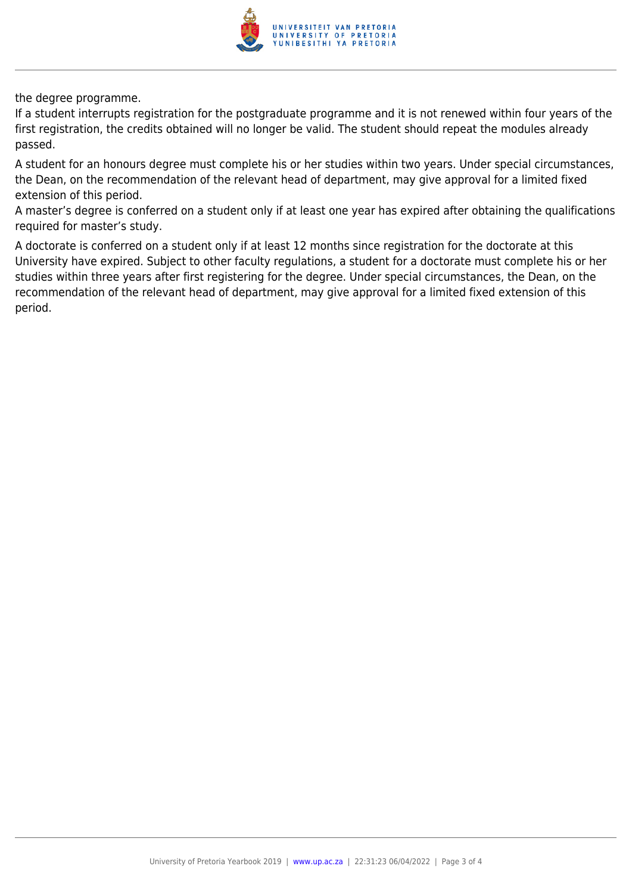

the degree programme.

If a student interrupts registration for the postgraduate programme and it is not renewed within four years of the first registration, the credits obtained will no longer be valid. The student should repeat the modules already passed.

A student for an honours degree must complete his or her studies within two years. Under special circumstances, the Dean, on the recommendation of the relevant head of department, may give approval for a limited fixed extension of this period.

A master's degree is conferred on a student only if at least one year has expired after obtaining the qualifications required for master's study.

A doctorate is conferred on a student only if at least 12 months since registration for the doctorate at this University have expired. Subject to other faculty regulations, a student for a doctorate must complete his or her studies within three years after first registering for the degree. Under special circumstances, the Dean, on the recommendation of the relevant head of department, may give approval for a limited fixed extension of this period.